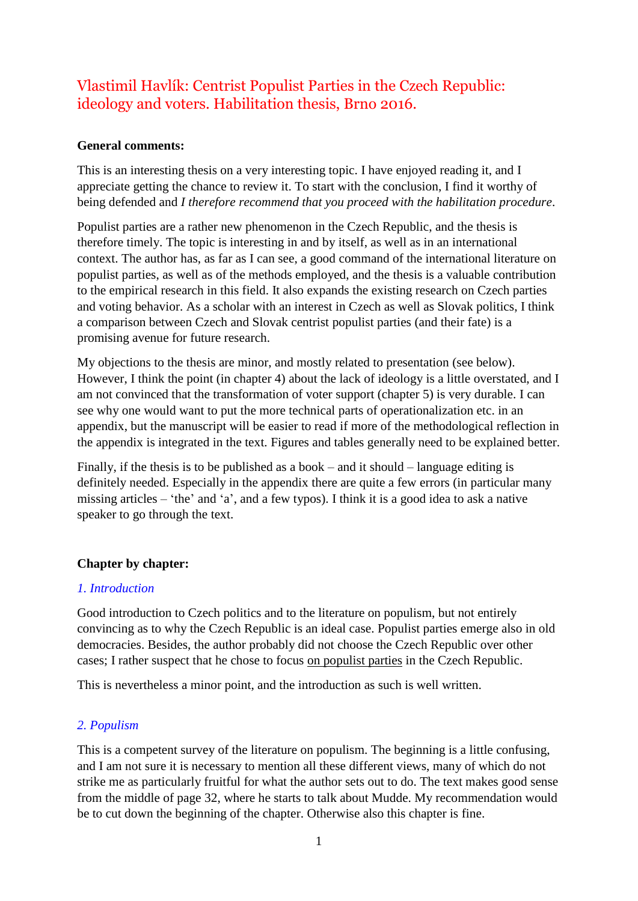# Vlastimil Havlík: Centrist Populist Parties in the Czech Republic: ideology and voters. Habilitation thesis, Brno 2016.

## **General comments:**

This is an interesting thesis on a very interesting topic. I have enjoyed reading it, and I appreciate getting the chance to review it. To start with the conclusion, I find it worthy of being defended and *I therefore recommend that you proceed with the habilitation procedure*.

Populist parties are a rather new phenomenon in the Czech Republic, and the thesis is therefore timely. The topic is interesting in and by itself, as well as in an international context. The author has, as far as I can see, a good command of the international literature on populist parties, as well as of the methods employed, and the thesis is a valuable contribution to the empirical research in this field. It also expands the existing research on Czech parties and voting behavior. As a scholar with an interest in Czech as well as Slovak politics, I think a comparison between Czech and Slovak centrist populist parties (and their fate) is a promising avenue for future research.

My objections to the thesis are minor, and mostly related to presentation (see below). However, I think the point (in chapter 4) about the lack of ideology is a little overstated, and I am not convinced that the transformation of voter support (chapter 5) is very durable. I can see why one would want to put the more technical parts of operationalization etc. in an appendix, but the manuscript will be easier to read if more of the methodological reflection in the appendix is integrated in the text. Figures and tables generally need to be explained better.

Finally, if the thesis is to be published as a book – and it should – language editing is definitely needed. Especially in the appendix there are quite a few errors (in particular many missing articles – 'the' and 'a', and a few typos). I think it is a good idea to ask a native speaker to go through the text.

## **Chapter by chapter:**

## *1. Introduction*

Good introduction to Czech politics and to the literature on populism, but not entirely convincing as to why the Czech Republic is an ideal case. Populist parties emerge also in old democracies. Besides, the author probably did not choose the Czech Republic over other cases; I rather suspect that he chose to focus on populist parties in the Czech Republic.

This is nevertheless a minor point, and the introduction as such is well written.

## *2. Populism*

This is a competent survey of the literature on populism. The beginning is a little confusing, and I am not sure it is necessary to mention all these different views, many of which do not strike me as particularly fruitful for what the author sets out to do. The text makes good sense from the middle of page 32, where he starts to talk about Mudde. My recommendation would be to cut down the beginning of the chapter. Otherwise also this chapter is fine.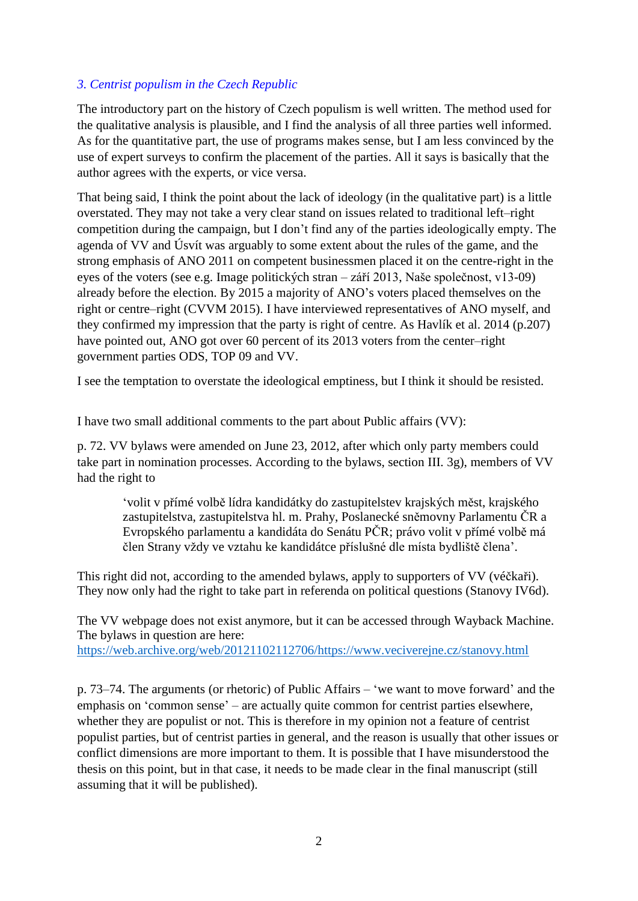# *3. Centrist populism in the Czech Republic*

The introductory part on the history of Czech populism is well written. The method used for the qualitative analysis is plausible, and I find the analysis of all three parties well informed. As for the quantitative part, the use of programs makes sense, but I am less convinced by the use of expert surveys to confirm the placement of the parties. All it says is basically that the author agrees with the experts, or vice versa.

That being said, I think the point about the lack of ideology (in the qualitative part) is a little overstated. They may not take a very clear stand on issues related to traditional left–right competition during the campaign, but I don't find any of the parties ideologically empty. The agenda of VV and Úsvít was arguably to some extent about the rules of the game, and the strong emphasis of ANO 2011 on competent businessmen placed it on the centre-right in the eyes of the voters (see e.g. Image politických stran – září 2013, Naše společnost, v13-09) already before the election. By 2015 a majority of ANO's voters placed themselves on the right or centre–right (CVVM 2015). I have interviewed representatives of ANO myself, and they confirmed my impression that the party is right of centre. As Havlík et al. 2014 (p.207) have pointed out, ANO got over 60 percent of its 2013 voters from the center–right government parties ODS, TOP 09 and VV.

I see the temptation to overstate the ideological emptiness, but I think it should be resisted.

I have two small additional comments to the part about Public affairs (VV):

p. 72. VV bylaws were amended on June 23, 2012, after which only party members could take part in nomination processes. According to the bylaws, section III. 3g), members of VV had the right to

'volit v přímé volbě lídra kandidátky do zastupitelstev krajských měst, krajského zastupitelstva, zastupitelstva hl. m. Prahy, Poslanecké sněmovny Parlamentu ČR a Evropského parlamentu a kandidáta do Senátu PČR; právo volit v přímé volbě má člen Strany vždy ve vztahu ke kandidátce příslušné dle místa bydliště člena'.

This right did not, according to the amended bylaws, apply to supporters of VV (véčkaři). They now only had the right to take part in referenda on political questions (Stanovy IV6d).

The VV webpage does not exist anymore, but it can be accessed through Wayback Machine. The bylaws in question are here: [https://web.archive.org/web/20121102112706/https://www.veciverejne.cz/stanovy.html](https://web.archive.org/web/20121102112706/https:/www.veciverejne.cz/stanovy.html)

p. 73–74. The arguments (or rhetoric) of Public Affairs – 'we want to move forward' and the emphasis on 'common sense' – are actually quite common for centrist parties elsewhere, whether they are populist or not. This is therefore in my opinion not a feature of centrist populist parties, but of centrist parties in general, and the reason is usually that other issues or conflict dimensions are more important to them. It is possible that I have misunderstood the thesis on this point, but in that case, it needs to be made clear in the final manuscript (still assuming that it will be published).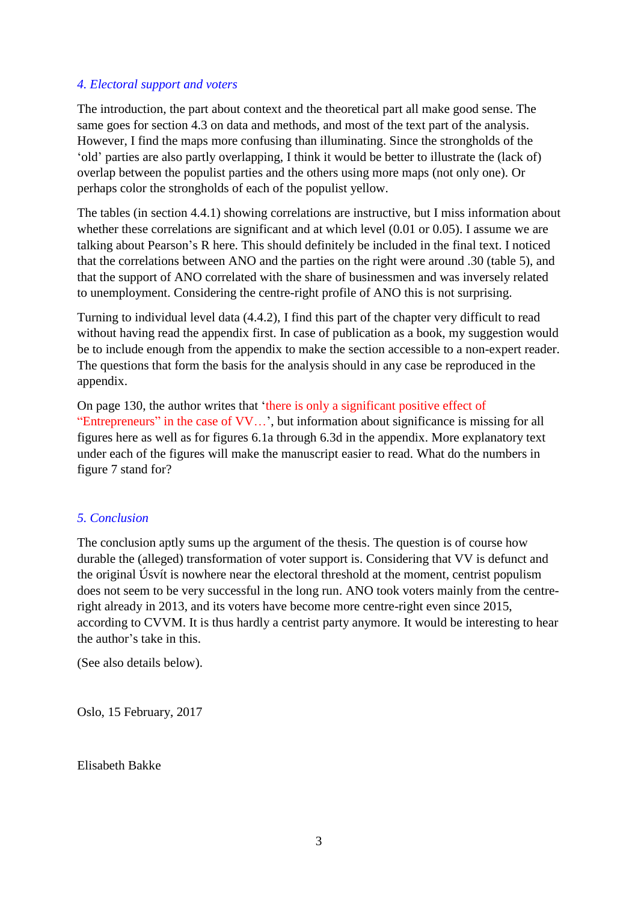## *4. Electoral support and voters*

The introduction, the part about context and the theoretical part all make good sense. The same goes for section 4.3 on data and methods, and most of the text part of the analysis. However, I find the maps more confusing than illuminating. Since the strongholds of the 'old' parties are also partly overlapping, I think it would be better to illustrate the (lack of) overlap between the populist parties and the others using more maps (not only one). Or perhaps color the strongholds of each of the populist yellow.

The tables (in section 4.4.1) showing correlations are instructive, but I miss information about whether these correlations are significant and at which level (0.01 or 0.05). I assume we are talking about Pearson's R here. This should definitely be included in the final text. I noticed that the correlations between ANO and the parties on the right were around .30 (table 5), and that the support of ANO correlated with the share of businessmen and was inversely related to unemployment. Considering the centre-right profile of ANO this is not surprising.

Turning to individual level data (4.4.2), I find this part of the chapter very difficult to read without having read the appendix first. In case of publication as a book, my suggestion would be to include enough from the appendix to make the section accessible to a non-expert reader. The questions that form the basis for the analysis should in any case be reproduced in the appendix.

On page 130, the author writes that 'there is only a significant positive effect of "Entrepreneurs" in the case of VV…', but information about significance is missing for all figures here as well as for figures 6.1a through 6.3d in the appendix. More explanatory text under each of the figures will make the manuscript easier to read. What do the numbers in figure 7 stand for?

## *5. Conclusion*

The conclusion aptly sums up the argument of the thesis. The question is of course how durable the (alleged) transformation of voter support is. Considering that VV is defunct and the original Úsvít is nowhere near the electoral threshold at the moment, centrist populism does not seem to be very successful in the long run. ANO took voters mainly from the centreright already in 2013, and its voters have become more centre-right even since 2015, according to CVVM. It is thus hardly a centrist party anymore. It would be interesting to hear the author's take in this.

(See also details below).

Oslo, 15 February, 2017

Elisabeth Bakke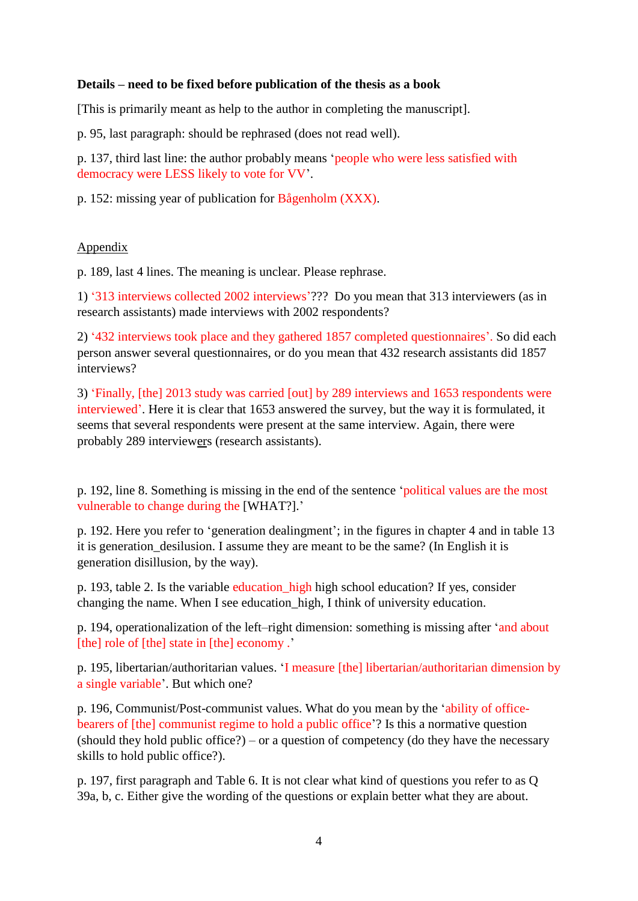## **Details – need to be fixed before publication of the thesis as a book**

[This is primarily meant as help to the author in completing the manuscript].

p. 95, last paragraph: should be rephrased (does not read well).

p. 137, third last line: the author probably means 'people who were less satisfied with democracy were LESS likely to vote for VV'.

p. 152: missing year of publication for Bågenholm (XXX).

## Appendix

p. 189, last 4 lines. The meaning is unclear. Please rephrase.

1) '313 interviews collected 2002 interviews'??? Do you mean that 313 interviewers (as in research assistants) made interviews with 2002 respondents?

2) '432 interviews took place and they gathered 1857 completed questionnaires'. So did each person answer several questionnaires, or do you mean that 432 research assistants did 1857 interviews?

3) 'Finally, [the] 2013 study was carried [out] by 289 interviews and 1653 respondents were interviewed'. Here it is clear that 1653 answered the survey, but the way it is formulated, it seems that several respondents were present at the same interview. Again, there were probably 289 interviewers (research assistants).

p. 192, line 8. Something is missing in the end of the sentence 'political values are the most vulnerable to change during the [WHAT?].'

p. 192. Here you refer to 'generation dealingment'; in the figures in chapter 4 and in table 13 it is generation desilusion. I assume they are meant to be the same? (In English it is generation disillusion, by the way).

p. 193, table 2. Is the variable education\_high high school education? If yes, consider changing the name. When I see education\_high, I think of university education.

p. 194, operationalization of the left–right dimension: something is missing after 'and about [the] role of [the] state in [the] economy .'

p. 195, libertarian/authoritarian values. 'I measure [the] libertarian/authoritarian dimension by a single variable'. But which one?

p. 196, Communist/Post-communist values. What do you mean by the 'ability of officebearers of [the] communist regime to hold a public office'? Is this a normative question (should they hold public office?) – or a question of competency (do they have the necessary skills to hold public office?).

p. 197, first paragraph and Table 6. It is not clear what kind of questions you refer to as Q 39a, b, c. Either give the wording of the questions or explain better what they are about.